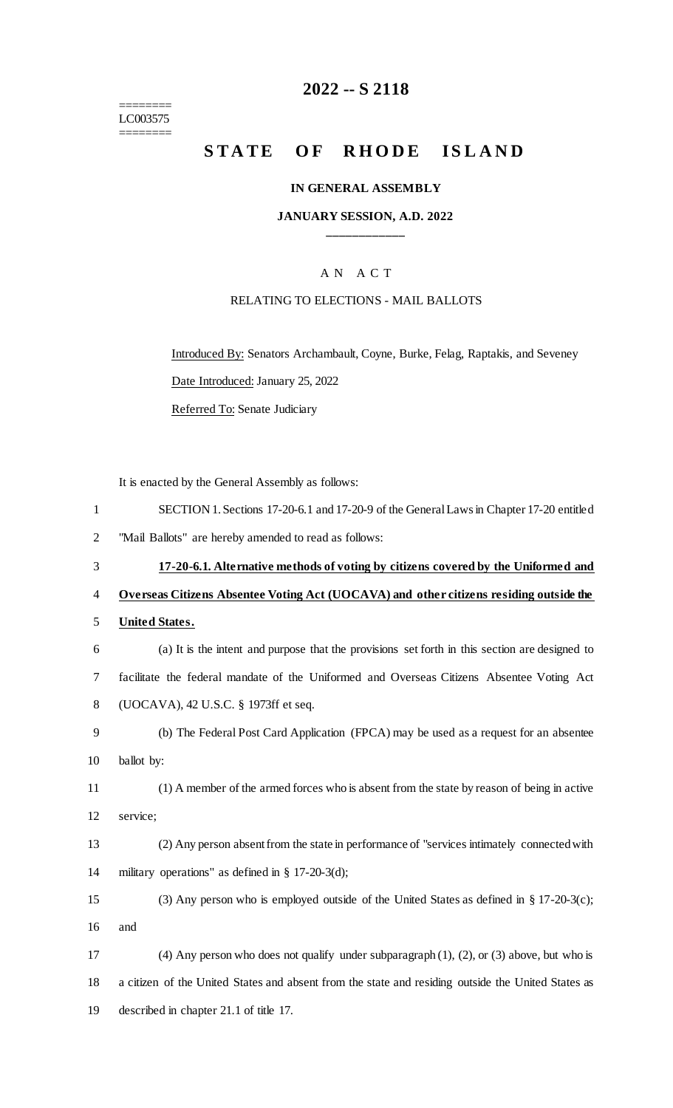======== LC003575

========

# **-- S 2118**

# STATE OF RHODE ISLAND

## **IN GENERAL ASSEMBLY**

### **JANUARY SESSION, A.D. 2022 \_\_\_\_\_\_\_\_\_\_\_\_**

# A N A C T

### RELATING TO ELECTIONS - MAIL BALLOTS

Introduced By: Senators Archambault, Coyne, Burke, Felag, Raptakis, and Seveney Date Introduced: January 25, 2022

Referred To: Senate Judiciary

It is enacted by the General Assembly as follows:

| $\mathbf{1}$   | SECTION 1. Sections 17-20-6.1 and 17-20-9 of the General Laws in Chapter 17-20 entitled             |
|----------------|-----------------------------------------------------------------------------------------------------|
| $\overline{2}$ | "Mail Ballots" are hereby amended to read as follows:                                               |
| 3              | 17-20-6.1. Alternative methods of voting by citizens covered by the Uniformed and                   |
| $\overline{4}$ | Overseas Citizens Absentee Voting Act (UOCAVA) and other citizens residing outside the              |
| 5              | <b>United States.</b>                                                                               |
| 6              | (a) It is the intent and purpose that the provisions set forth in this section are designed to      |
| 7              | facilitate the federal mandate of the Uniformed and Overseas Citizens Absentee Voting Act           |
| 8              | (UOCAVA), 42 U.S.C. § 1973ff et seq.                                                                |
| 9              | (b) The Federal Post Card Application (FPCA) may be used as a request for an absentee               |
| 10             | ballot by:                                                                                          |
| 11             | (1) A member of the armed forces who is absent from the state by reason of being in active          |
| 12             | service;                                                                                            |
| 13             | (2) Any person absent from the state in performance of "services intimately connected with          |
| 14             | military operations" as defined in $\S$ 17-20-3(d);                                                 |
| 15             | (3) Any person who is employed outside of the United States as defined in § 17-20-3(c);             |
| 16             | and                                                                                                 |
| 17             | $(4)$ Any person who does not qualify under subparagraph $(1)$ , $(2)$ , or $(3)$ above, but who is |
| 18             | a citizen of the United States and absent from the state and residing outside the United States as  |
| 19             | described in chapter 21.1 of title 17.                                                              |
|                |                                                                                                     |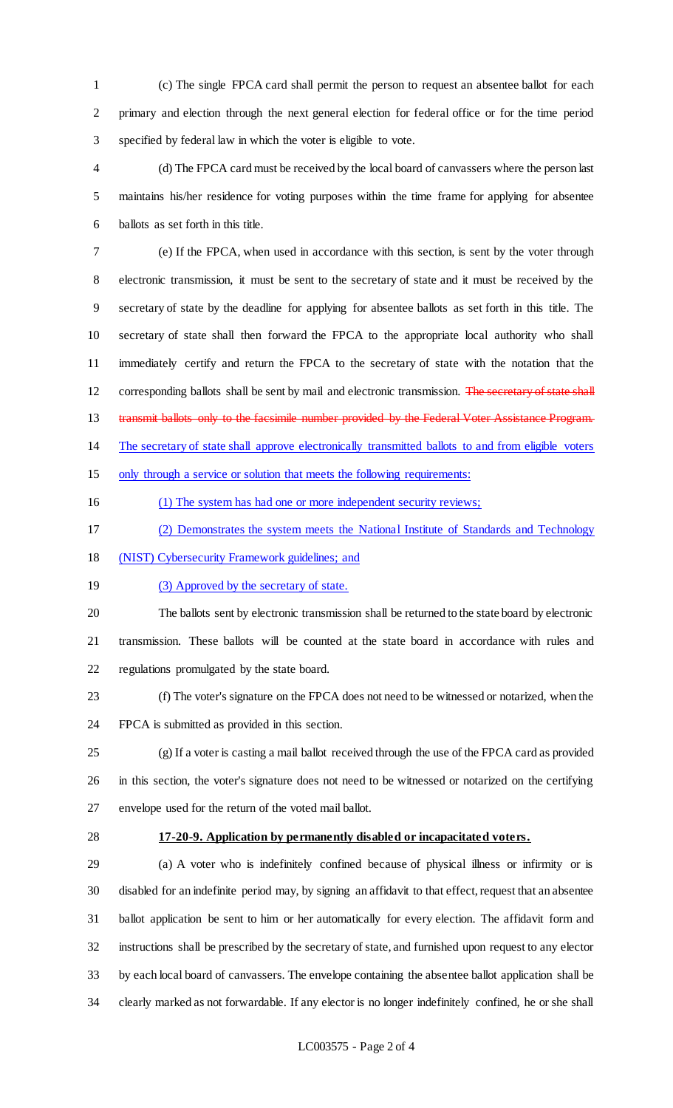(c) The single FPCA card shall permit the person to request an absentee ballot for each primary and election through the next general election for federal office or for the time period specified by federal law in which the voter is eligible to vote.

 (d) The FPCA card must be received by the local board of canvassers where the person last maintains his/her residence for voting purposes within the time frame for applying for absentee ballots as set forth in this title.

 (e) If the FPCA, when used in accordance with this section, is sent by the voter through electronic transmission, it must be sent to the secretary of state and it must be received by the secretary of state by the deadline for applying for absentee ballots as set forth in this title. The secretary of state shall then forward the FPCA to the appropriate local authority who shall immediately certify and return the FPCA to the secretary of state with the notation that the 12 corresponding ballots shall be sent by mail and electronic transmission. The secretary of state shall 13 transmit ballots only to the facsimile number provided by the Federal Voter Assistance Program. The secretary of state shall approve electronically transmitted ballots to and from eligible voters only through a service or solution that meets the following requirements:

- (1) The system has had one or more independent security reviews;
- (2) Demonstrates the system meets the National Institute of Standards and Technology
- (NIST) Cybersecurity Framework guidelines; and
- 19 (3) Approved by the secretary of state.

 The ballots sent by electronic transmission shall be returned to the state board by electronic transmission. These ballots will be counted at the state board in accordance with rules and regulations promulgated by the state board.

 (f) The voter's signature on the FPCA does not need to be witnessed or notarized, when the FPCA is submitted as provided in this section.

 (g) If a voter is casting a mail ballot received through the use of the FPCA card as provided in this section, the voter's signature does not need to be witnessed or notarized on the certifying envelope used for the return of the voted mail ballot.

### **17-20-9. Application by permanently disabled or incapacitated voters.**

 (a) A voter who is indefinitely confined because of physical illness or infirmity or is disabled for an indefinite period may, by signing an affidavit to that effect, request that an absentee ballot application be sent to him or her automatically for every election. The affidavit form and instructions shall be prescribed by the secretary of state, and furnished upon request to any elector by each local board of canvassers. The envelope containing the absentee ballot application shall be clearly marked as not forwardable. If any elector is no longer indefinitely confined, he or she shall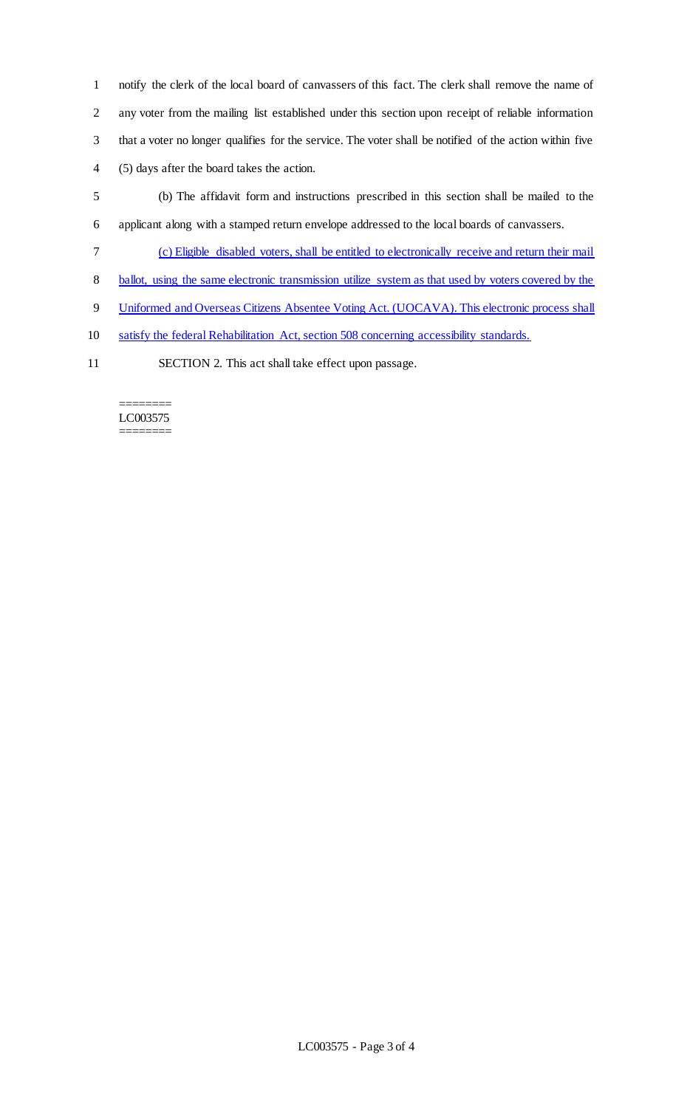notify the clerk of the local board of canvassers of this fact. The clerk shall remove the name of any voter from the mailing list established under this section upon receipt of reliable information that a voter no longer qualifies for the service. The voter shall be notified of the action within five (5) days after the board takes the action.

- 5 (b) The affidavit form and instructions prescribed in this section shall be mailed to the 6 applicant along with a stamped return envelope addressed to the local boards of canvassers.
- 7 (c) Eligible disabled voters, shall be entitled to electronically receive and return their mail
- 8 ballot, using the same electronic transmission utilize system as that used by voters covered by the
- 9 Uniformed and Overseas Citizens Absentee Voting Act. (UOCAVA). This electronic process shall
- 10 satisfy the federal Rehabilitation Act, section 508 concerning accessibility standards.
- 11 SECTION 2. This act shall take effect upon passage.

#### ======== LC003575 ========